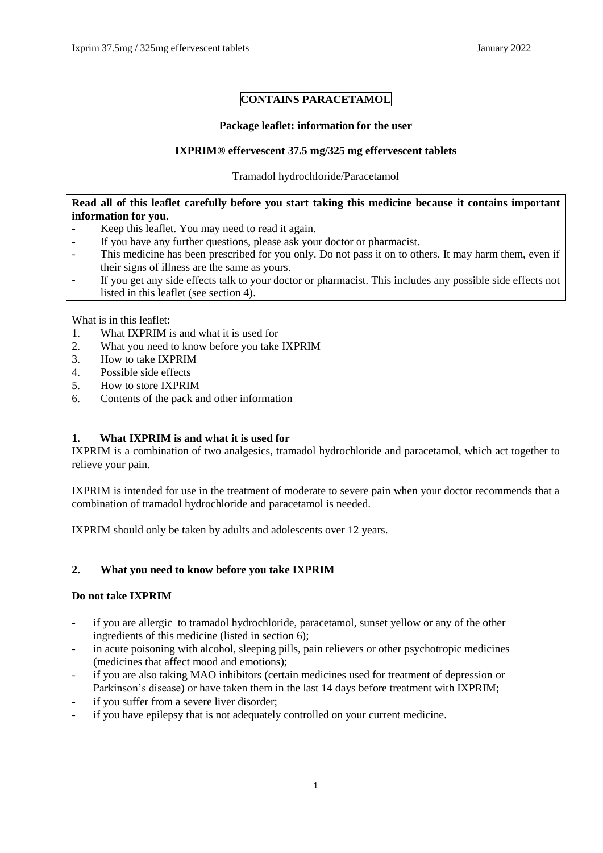# **CONTAINS PARACETAMOL**

## **Package leaflet: information for the user**

## **IXPRIM® effervescent 37.5 mg/325 mg effervescent tablets**

Tramadol hydrochloride/Paracetamol

## **Read all of this leaflet carefully before you start taking this medicine because it contains important information for you.**

- Keep this leaflet. You may need to read it again.
- If you have any further questions, please ask your doctor or pharmacist.
- This medicine has been prescribed for you only. Do not pass it on to others. It may harm them, even if their signs of illness are the same as yours.
- If you get any side effects talk to your doctor or pharmacist. This includes any possible side effects not listed in this leaflet (see section 4).

What is in this leaflet:

- 1. What IXPRIM is and what it is used for
- 2. What you need to know before you take IXPRIM
- 3. How to take IXPRIM
- 4. Possible side effects
- 5. How to store IXPRIM
- 6. Contents of the pack and other information

## **1. What IXPRIM is and what it is used for**

IXPRIM is a combination of two analgesics, tramadol hydrochloride and paracetamol, which act together to relieve your pain.

IXPRIM is intended for use in the treatment of moderate to severe pain when your doctor recommends that a combination of tramadol hydrochloride and paracetamol is needed.

IXPRIM should only be taken by adults and adolescents over 12 years.

## **2. What you need to know before you take IXPRIM**

## **Do not take IXPRIM**

- if you are allergic to tramadol hydrochloride, paracetamol, sunset yellow or any of the other ingredients of this medicine (listed in section 6);
- in acute poisoning with alcohol, sleeping pills, pain relievers or other psychotropic medicines (medicines that affect mood and emotions);
- if you are also taking MAO inhibitors (certain medicines used for treatment of depression or Parkinson's disease) or have taken them in the last 14 days before treatment with IXPRIM;
- if you suffer from a severe liver disorder;
- if you have epilepsy that is not adequately controlled on your current medicine.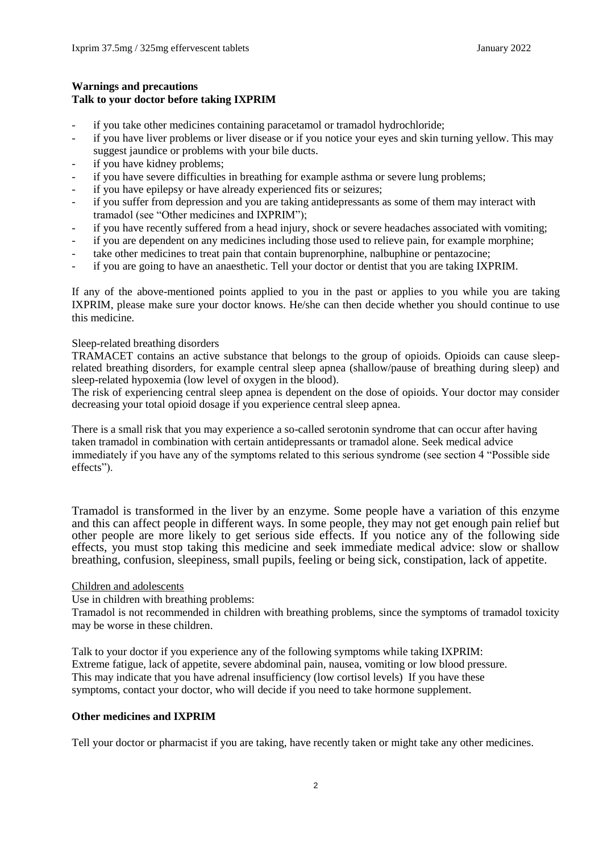## **Warnings and precautions Talk to your doctor before taking IXPRIM**

- if you take other medicines containing paracetamol or tramadol hydrochloride;
- if you have liver problems or liver disease or if you notice your eyes and skin turning yellow. This may suggest jaundice or problems with your bile ducts.
- if you have kidney problems;
- if you have severe difficulties in breathing for example asthma or severe lung problems;
- if you have epilepsy or have already experienced fits or seizures;
- if you suffer from depression and you are taking antidepressants as some of them may interact with tramadol (see "Other medicines and IXPRIM");
- if you have recently suffered from a head injury, shock or severe headaches associated with vomiting;
- if you are dependent on any medicines including those used to relieve pain, for example morphine;
- take other medicines to treat pain that contain buprenorphine, nalbuphine or pentazocine;
- if you are going to have an anaesthetic. Tell your doctor or dentist that you are taking IXPRIM.

If any of the above-mentioned points applied to you in the past or applies to you while you are taking IXPRIM, please make sure your doctor knows. He/she can then decide whether you should continue to use this medicine.

#### Sleep-related breathing disorders

TRAMACET contains an active substance that belongs to the group of opioids. Opioids can cause sleeprelated breathing disorders, for example central sleep apnea (shallow/pause of breathing during sleep) and sleep-related hypoxemia (low level of oxygen in the blood).

The risk of experiencing central sleep apnea is dependent on the dose of opioids. Your doctor may consider decreasing your total opioid dosage if you experience central sleep apnea.

There is a small risk that you may experience a so-called serotonin syndrome that can occur after having taken tramadol in combination with certain antidepressants or tramadol alone. Seek medical advice immediately if you have any of the symptoms related to this serious syndrome (see section 4 "Possible side effects").

Tramadol is transformed in the liver by an enzyme. Some people have a variation of this enzyme and this can affect people in different ways. In some people, they may not get enough pain relief but other people are more likely to get serious side effects. If you notice any of the following side effects, you must stop taking this medicine and seek immediate medical advice: slow or shallow breathing, confusion, sleepiness, small pupils, feeling or being sick, constipation, lack of appetite.

### Children and adolescents

Use in children with breathing problems:

Tramadol is not recommended in children with breathing problems, since the symptoms of tramadol toxicity may be worse in these children.

Talk to your doctor if you experience any of the following symptoms while taking IXPRIM: Extreme fatigue, lack of appetite, severe abdominal pain, nausea, vomiting or low blood pressure. This may indicate that you have adrenal insufficiency (low cortisol levels) If you have these symptoms, contact your doctor, who will decide if you need to take hormone supplement.

### **Other medicines and IXPRIM**

Tell your doctor or pharmacist if you are taking, have recently taken or might take any other medicines.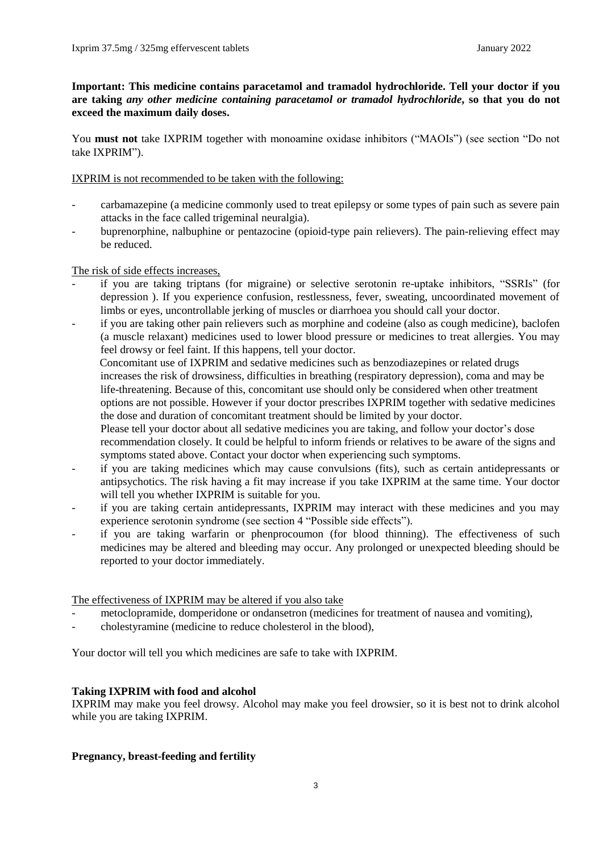**Important: This medicine contains paracetamol and tramadol hydrochloride. Tell your doctor if you are taking** *any other medicine containing paracetamol or tramadol hydrochloride***, so that you do not exceed the maximum daily doses.**

You **must not** take IXPRIM together with monoamine oxidase inhibitors ("MAOIs") (see section "Do not take IXPRIM").

#### IXPRIM is not recommended to be taken with the following:

- carbamazepine (a medicine commonly used to treat epilepsy or some types of pain such as severe pain attacks in the face called trigeminal neuralgia).
- buprenorphine, nalbuphine or pentazocine (opioid-type pain relievers). The pain-relieving effect may be reduced.

#### The risk of side effects increases,

- if you are taking triptans (for migraine) or selective serotonin re-uptake inhibitors, "SSRIs" (for depression ). If you experience confusion, restlessness, fever, sweating, uncoordinated movement of limbs or eyes, uncontrollable jerking of muscles or diarrhoea you should call your doctor.
- if you are taking other pain relievers such as morphine and codeine (also as cough medicine), baclofen (a muscle relaxant) medicines used to lower blood pressure or medicines to treat allergies. You may feel drowsy or feel faint. If this happens, tell your doctor.

 Concomitant use of IXPRIM and sedative medicines such as benzodiazepines or related drugs increases the risk of drowsiness, difficulties in breathing (respiratory depression), coma and may be life-threatening. Because of this, concomitant use should only be considered when other treatment options are not possible. However if your doctor prescribes IXPRIM together with sedative medicines the dose and duration of concomitant treatment should be limited by your doctor.

Please tell your doctor about all sedative medicines you are taking, and follow your doctor's dose recommendation closely. It could be helpful to inform friends or relatives to be aware of the signs and symptoms stated above. Contact your doctor when experiencing such symptoms.

- if you are taking medicines which may cause convulsions (fits), such as certain antidepressants or antipsychotics. The risk having a fit may increase if you take IXPRIM at the same time. Your doctor will tell you whether IXPRIM is suitable for you.
- if you are taking certain antidepressants, IXPRIM may interact with these medicines and you may experience serotonin syndrome (see section 4 "Possible side effects").
- if you are taking warfarin or phenprocoumon (for blood thinning). The effectiveness of such medicines may be altered and bleeding may occur. Any prolonged or unexpected bleeding should be reported to your doctor immediately.

#### The effectiveness of IXPRIM may be altered if you also take

- metoclopramide, domperidone or ondansetron (medicines for treatment of nausea and vomiting),
- cholestyramine (medicine to reduce cholesterol in the blood),

Your doctor will tell you which medicines are safe to take with IXPRIM.

#### **Taking IXPRIM with food and alcohol**

IXPRIM may make you feel drowsy. Alcohol may make you feel drowsier, so it is best not to drink alcohol while you are taking IXPRIM.

### **Pregnancy, breast-feeding and fertility**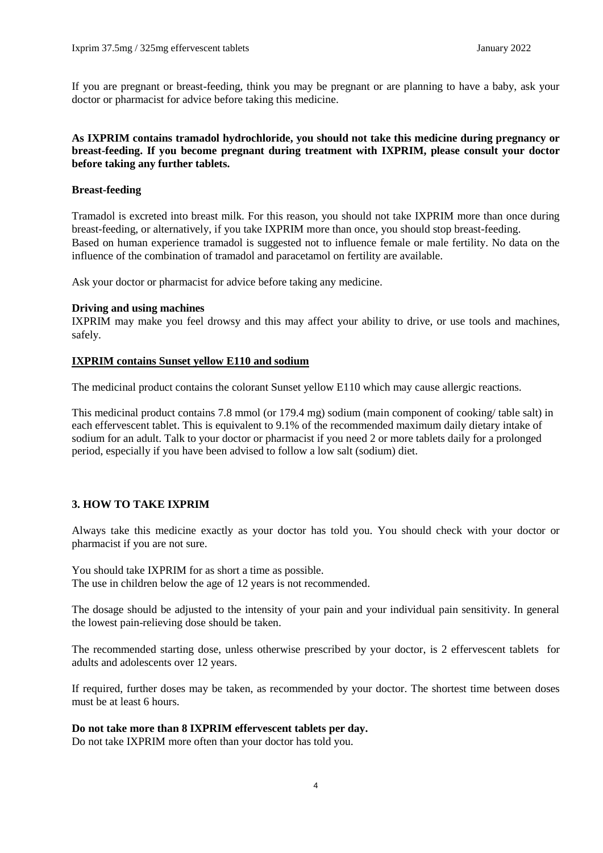If you are pregnant or breast-feeding, think you may be pregnant or are planning to have a baby, ask your doctor or pharmacist for advice before taking this medicine.

### **As IXPRIM contains tramadol hydrochloride, you should not take this medicine during pregnancy or breast-feeding. If you become pregnant during treatment with IXPRIM, please consult your doctor before taking any further tablets.**

#### **Breast-feeding**

Tramadol is excreted into breast milk. For this reason, you should not take IXPRIM more than once during breast-feeding, or alternatively, if you take IXPRIM more than once, you should stop breast-feeding. Based on human experience tramadol is suggested not to influence female or male fertility. No data on the influence of the combination of tramadol and paracetamol on fertility are available.

Ask your doctor or pharmacist for advice before taking any medicine.

#### **Driving and using machines**

IXPRIM may make you feel drowsy and this may affect your ability to drive, or use tools and machines, safely.

#### **IXPRIM contains Sunset yellow E110 and sodium**

The medicinal product contains the colorant Sunset yellow E110 which may cause allergic reactions.

This medicinal product contains 7.8 mmol (or 179.4 mg) sodium (main component of cooking/ table salt) in each effervescent tablet. This is equivalent to 9.1% of the recommended maximum daily dietary intake of sodium for an adult. Talk to your doctor or pharmacist if you need 2 or more tablets daily for a prolonged period, especially if you have been advised to follow a low salt (sodium) diet.

#### **3. HOW TO TAKE IXPRIM**

Always take this medicine exactly as your doctor has told you. You should check with your doctor or pharmacist if you are not sure.

You should take IXPRIM for as short a time as possible. The use in children below the age of 12 years is not recommended.

The dosage should be adjusted to the intensity of your pain and your individual pain sensitivity. In general the lowest pain-relieving dose should be taken.

The recommended starting dose, unless otherwise prescribed by your doctor, is 2 effervescent tablets for adults and adolescents over 12 years.

If required, further doses may be taken, as recommended by your doctor. The shortest time between doses must be at least 6 hours.

#### **Do not take more than 8 IXPRIM effervescent tablets per day.**

Do not take IXPRIM more often than your doctor has told you.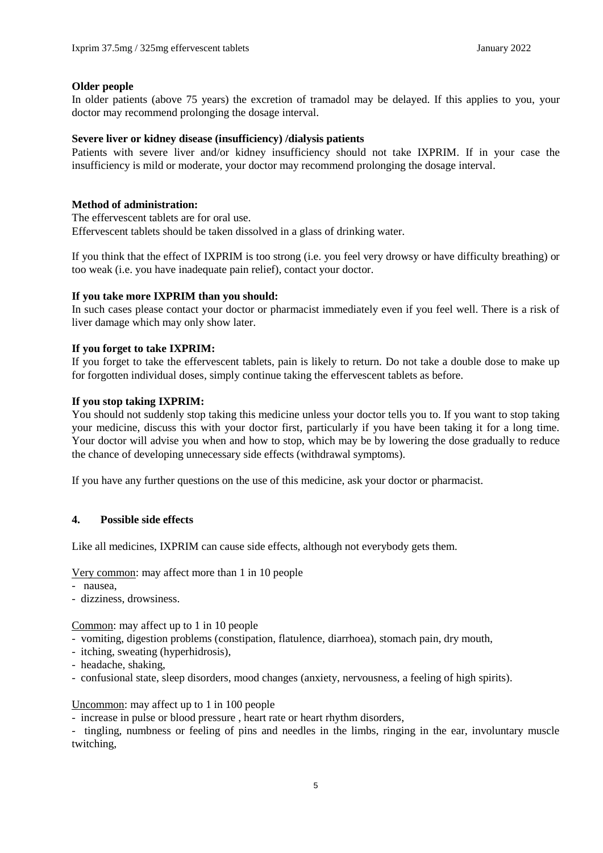#### **Older people**

In older patients (above 75 years) the excretion of tramadol may be delayed. If this applies to you, your doctor may recommend prolonging the dosage interval.

### **Severe liver or kidney disease (insufficiency) /dialysis patients**

Patients with severe liver and/or kidney insufficiency should not take IXPRIM. If in your case the insufficiency is mild or moderate, your doctor may recommend prolonging the dosage interval.

#### **Method of administration:**

The effervescent tablets are for oral use. Effervescent tablets should be taken dissolved in a glass of drinking water.

If you think that the effect of IXPRIM is too strong (i.e. you feel very drowsy or have difficulty breathing) or too weak (i.e. you have inadequate pain relief), contact your doctor.

#### **If you take more IXPRIM than you should:**

In such cases please contact your doctor or pharmacist immediately even if you feel well. There is a risk of liver damage which may only show later.

#### **If you forget to take IXPRIM:**

If you forget to take the effervescent tablets, pain is likely to return. Do not take a double dose to make up for forgotten individual doses, simply continue taking the effervescent tablets as before.

#### **If you stop taking IXPRIM:**

You should not suddenly stop taking this medicine unless your doctor tells you to. If you want to stop taking your medicine, discuss this with your doctor first, particularly if you have been taking it for a long time. Your doctor will advise you when and how to stop, which may be by lowering the dose gradually to reduce the chance of developing unnecessary side effects (withdrawal symptoms).

If you have any further questions on the use of this medicine, ask your doctor or pharmacist.

#### **4. Possible side effects**

Like all medicines, IXPRIM can cause side effects, although not everybody gets them.

Very common: may affect more than 1 in 10 people

- nausea,
- dizziness, drowsiness.

Common: may affect up to 1 in 10 people

- vomiting, digestion problems (constipation, flatulence, diarrhoea), stomach pain, dry mouth,
- itching, sweating (hyperhidrosis),
- headache, shaking,
- confusional state, sleep disorders, mood changes (anxiety, nervousness, a feeling of high spirits).

#### Uncommon: may affect up to 1 in 100 people

- increase in pulse or blood pressure , heart rate or heart rhythm disorders,

- tingling, numbness or feeling of pins and needles in the limbs, ringing in the ear, involuntary muscle twitching,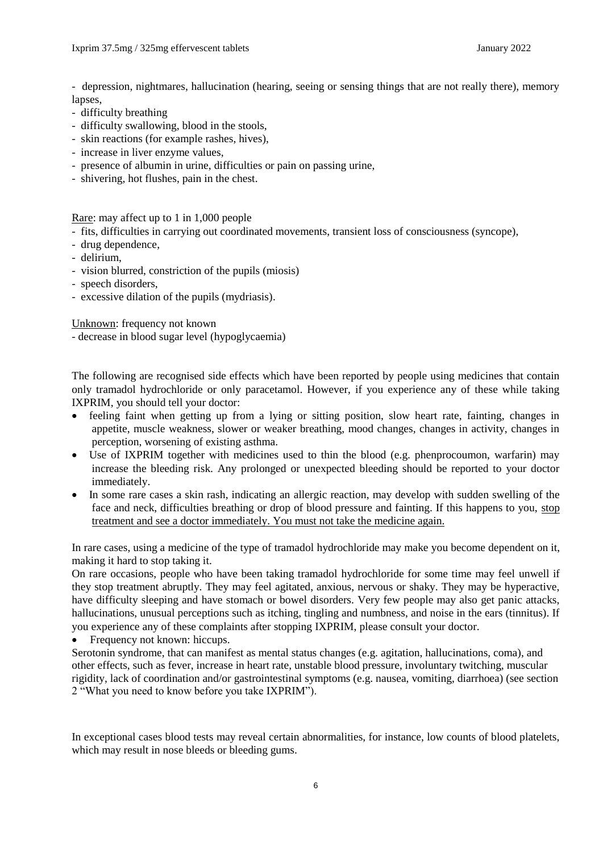- depression, nightmares, hallucination (hearing, seeing or sensing things that are not really there), memory lapses,

- difficulty breathing
- difficulty swallowing, blood in the stools,
- skin reactions (for example rashes, hives),
- increase in liver enzyme values,
- presence of albumin in urine, difficulties or pain on passing urine,
- shivering, hot flushes, pain in the chest.

Rare: may affect up to 1 in 1,000 people

- fits, difficulties in carrying out coordinated movements, transient loss of consciousness (syncope),
- drug dependence,
- delirium,
- vision blurred, constriction of the pupils (miosis)
- speech disorders,
- excessive dilation of the pupils (mydriasis).

Unknown: frequency not known

- decrease in blood sugar level (hypoglycaemia)

The following are recognised side effects which have been reported by people using medicines that contain only tramadol hydrochloride or only paracetamol. However, if you experience any of these while taking IXPRIM, you should tell your doctor:

- feeling faint when getting up from a lying or sitting position, slow heart rate, fainting, changes in appetite, muscle weakness, slower or weaker breathing, mood changes, changes in activity, changes in perception, worsening of existing asthma.
- Use of IXPRIM together with medicines used to thin the blood (e.g. phenprocoumon, warfarin) may increase the bleeding risk. Any prolonged or unexpected bleeding should be reported to your doctor immediately.
- In some rare cases a skin rash, indicating an allergic reaction, may develop with sudden swelling of the face and neck, difficulties breathing or drop of blood pressure and fainting. If this happens to you, stop treatment and see a doctor immediately. You must not take the medicine again.

In rare cases, using a medicine of the type of tramadol hydrochloride may make you become dependent on it, making it hard to stop taking it.

On rare occasions, people who have been taking tramadol hydrochloride for some time may feel unwell if they stop treatment abruptly. They may feel agitated, anxious, nervous or shaky. They may be hyperactive, have difficulty sleeping and have stomach or bowel disorders. Very few people may also get panic attacks, hallucinations, unusual perceptions such as itching, tingling and numbness, and noise in the ears (tinnitus). If you experience any of these complaints after stopping IXPRIM, please consult your doctor.

• Frequency not known: hiccups.

Serotonin syndrome, that can manifest as mental status changes (e.g. agitation, hallucinations, coma), and other effects, such as fever, increase in heart rate, unstable blood pressure, involuntary twitching, muscular rigidity, lack of coordination and/or gastrointestinal symptoms (e.g. nausea, vomiting, diarrhoea) (see section 2 "What you need to know before you take IXPRIM").

In exceptional cases blood tests may reveal certain abnormalities, for instance, low counts of blood platelets, which may result in nose bleeds or bleeding gums.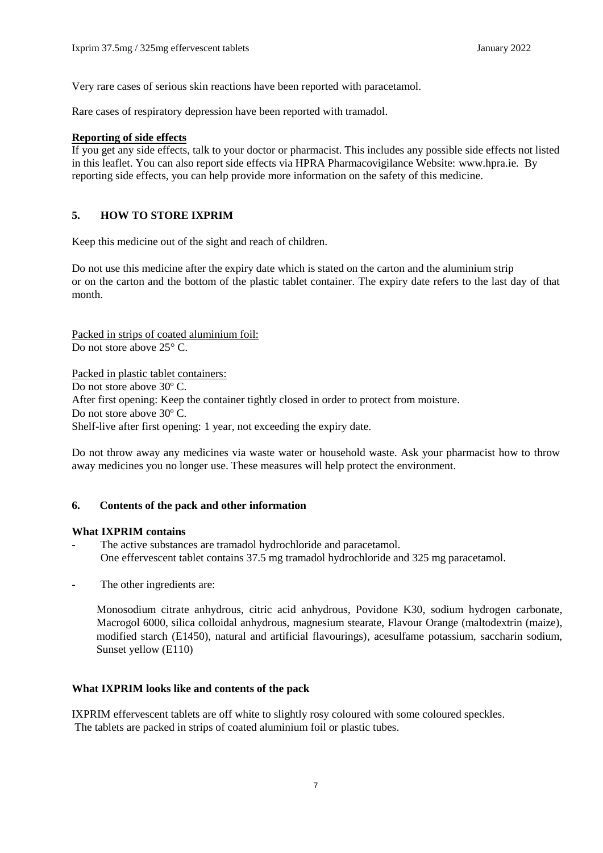Very rare cases of serious skin reactions have been reported with paracetamol.

Rare cases of respiratory depression have been reported with tramadol.

### **Reporting of side effects**

If you get any side effects, talk to your doctor or pharmacist. This includes any possible side effects not listed in this leaflet. You can also report side effects via HPRA Pharmacovigilance Website: [www.hpra.ie.](http://www.hpra.ie/) By reporting side effects, you can help provide more information on the safety of this medicine.

## **5. HOW TO STORE IXPRIM**

Keep this medicine out of the sight and reach of children.

Do not use this medicine after the expiry date which is stated on the carton and the aluminium strip or on the carton and the bottom of the plastic tablet container. The expiry date refers to the last day of that month.

Packed in strips of coated aluminium foil: Do not store above 25 $\degree$  C.

Packed in plastic tablet containers: Do not store above 30º C. After first opening: Keep the container tightly closed in order to protect from moisture. Do not store above 30º C. Shelf-live after first opening: 1 year, not exceeding the expiry date.

Do not throw away any medicines via waste water or household waste. Ask your pharmacist how to throw away medicines you no longer use. These measures will help protect the environment.

## **6. Contents of the pack and other information**

### **What IXPRIM contains**

- The active substances are tramadol hydrochloride and paracetamol. One effervescent tablet contains 37.5 mg tramadol hydrochloride and 325 mg paracetamol.
- The other ingredients are:

Monosodium citrate anhydrous, citric acid anhydrous, Povidone K30, sodium hydrogen carbonate, Macrogol 6000, silica colloidal anhydrous, magnesium stearate, Flavour Orange (maltodextrin (maize), modified starch (E1450), natural and artificial flavourings), acesulfame potassium, saccharin sodium, Sunset yellow (E110)

### **What IXPRIM looks like and contents of the pack**

IXPRIM effervescent tablets are off white to slightly rosy coloured with some coloured speckles. The tablets are packed in strips of coated aluminium foil or plastic tubes.